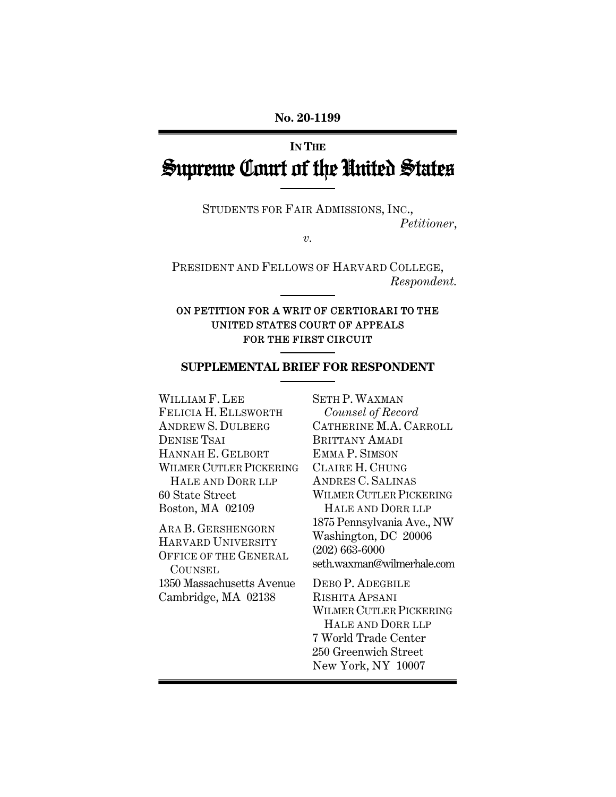# **IN THE** Supreme Court of the United States

STUDENTS FOR FAIR ADMISSIONS, INC., *Petitioner*,

*v.* 

PRESIDENT AND FELLOWS OF HARVARD COLLEGE, *Respondent.* 

#### ON PETITION FOR A WRIT OF CERTIORARI TO THE UNITED STATES COURT OF APPEALS FOR THE FIRST CIRCUIT

#### **SUPPLEMENTAL BRIEF FOR RESPONDENT**

WILLIAM F. LEE FELICIA H. ELLSWORTH ANDREW S. DULBERG DENISE TSAI HANNAH E. GELBORT WILMER CUTLER PICKERING HALE AND DORR LLP 60 State Street Boston, MA 02109

ARA B. GERSHENGORN HARVARD UNIVERSITY OFFICE OF THE GENERAL **COUNSEL** 1350 Massachusetts Avenue Cambridge, MA 02138

SETH P. WAXMAN *Counsel of Record* CATHERINE M.A. CARROLL BRITTANY AMADI EMMA P. SIMSON CLAIRE H. CHUNG ANDRES C. SALINAS WILMER CUTLER PICKERING HALE AND DORR LLP 1875 Pennsylvania Ave., NW Washington, DC 20006 (202) 663-6000 seth.waxman@wilmerhale.com DEBO P. ADEGBILE RISHITA APSANI

WILMER CUTLER PICKERING HALE AND DORR LLP 7 World Trade Center 250 Greenwich Street New York, NY 10007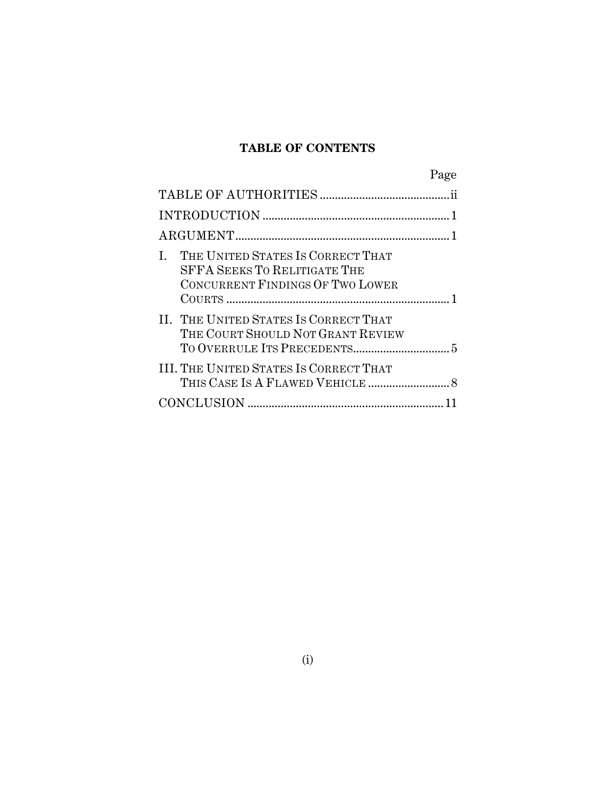## **TABLE OF CONTENTS**

|                                                                                                              | Page |
|--------------------------------------------------------------------------------------------------------------|------|
|                                                                                                              |      |
|                                                                                                              |      |
|                                                                                                              |      |
| THE UNITED STATES IS CORRECT THAT<br><b>SFFA SEEKS TO RELITIGATE THE</b><br>CONCURRENT FINDINGS OF TWO LOWER |      |
| II. THE UNITED STATES IS CORRECT THAT<br>THE COURT SHOULD NOT GRANT REVIEW                                   |      |
| III. THE UNITED STATES IS CORRECT THAT                                                                       |      |
|                                                                                                              |      |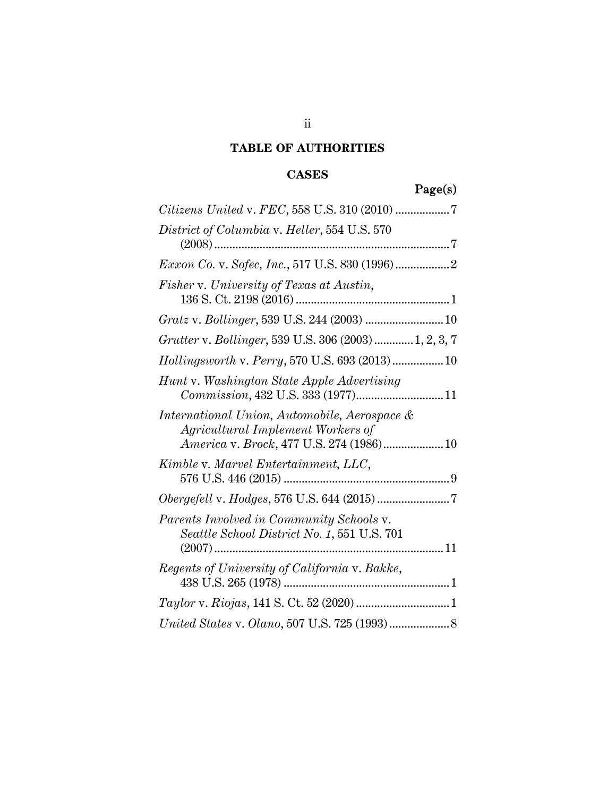## **TABLE OF AUTHORITIES**

## **CASES**

## Page(s)

| District of Columbia v. Heller, 554 U.S. 570                                                                                  |
|-------------------------------------------------------------------------------------------------------------------------------|
|                                                                                                                               |
| Fisher v. University of Texas at Austin,                                                                                      |
|                                                                                                                               |
| Grutter v. Bollinger, 539 U.S. 306 (2003)  1, 2, 3, 7                                                                         |
| Hollingsworth v. Perry, 570 U.S. 693 (2013) 10                                                                                |
| Hunt v. Washington State Apple Advertising<br>Commission, 432 U.S. 333 (1977)11                                               |
| International Union, Automobile, Aerospace &<br>Agricultural Implement Workers of<br>America v. Brock, 477 U.S. 274 (1986) 10 |
| Kimble v. Marvel Entertainment, LLC,                                                                                          |
|                                                                                                                               |
| Parents Involved in Community Schools v.<br>Seattle School District No. 1, 551 U.S. 701                                       |
| Regents of University of California v. Bakke,                                                                                 |
|                                                                                                                               |
|                                                                                                                               |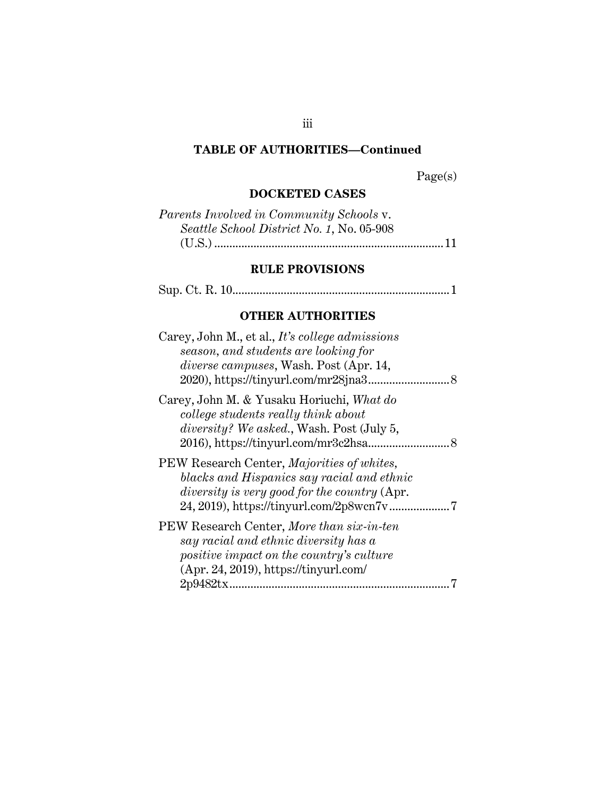#### **TABLE OF AUTHORITIES—Continued**

Page(s)

#### **DOCKETED CASES**

| Parents Involved in Community Schools v.  |  |
|-------------------------------------------|--|
| Seattle School District No. 1, No. 05-908 |  |
|                                           |  |

## **RULE PROVISIONS**

Sup. Ct. R. 10........................................................................ 1

## **OTHER AUTHORITIES**

| Carey, John M., et al., It's college admissions<br>season, and students are looking for<br>diverse campuses, Wash. Post (Apr. 14,                                                   |
|-------------------------------------------------------------------------------------------------------------------------------------------------------------------------------------|
| Carey, John M. & Yusaku Horiuchi, What do<br>college students really think about<br><i>diversity?</i> We asked., Wash. Post (July 5,<br>2016), https://tinyurl.com/mr3c2hsa<br>. 8  |
| PEW Research Center, Majorities of whites,<br>blacks and Hispanics say racial and ethnic<br>diversity is very good for the country (Apr.                                            |
| PEW Research Center, More than six-in-ten<br>say racial and ethnic diversity has a<br>positive impact on the country's culture<br>(Apr. 24, 2019), https://tinyurl.com/<br>2p9482tx |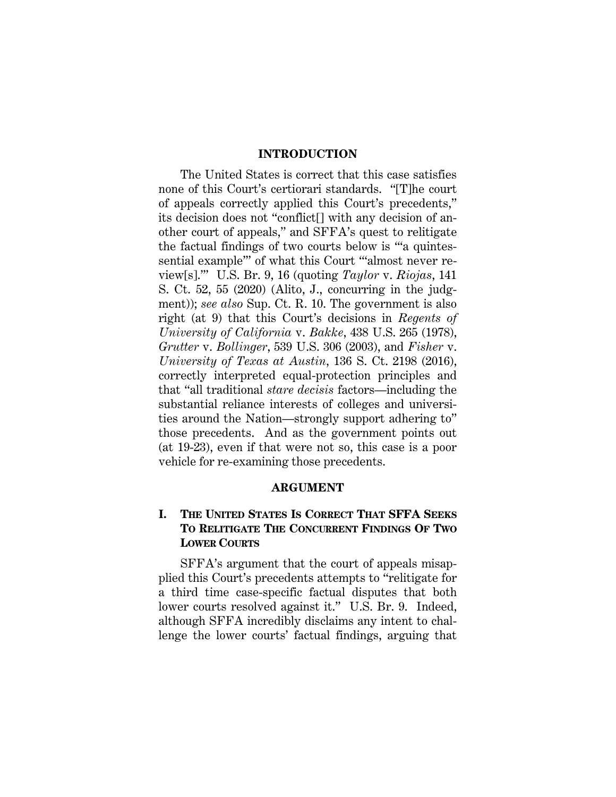#### **INTRODUCTION**

The United States is correct that this case satisfies none of this Court's certiorari standards. "[T]he court of appeals correctly applied this Court's precedents," its decision does not "conflict[] with any decision of another court of appeals," and SFFA's quest to relitigate the factual findings of two courts below is "'a quintessential example" of what this Court ""almost never review[s].'" U.S. Br. 9, 16 (quoting *Taylor* v. *Riojas*, 141 S. Ct. 52, 55 (2020) (Alito, J., concurring in the judgment)); *see also* Sup. Ct. R. 10. The government is also right (at 9) that this Court's decisions in *Regents of University of California* v. *Bakke*, 438 U.S. 265 (1978), *Grutter* v. *Bollinger*, 539 U.S. 306 (2003), and *Fisher* v. *University of Texas at Austin*, 136 S. Ct. 2198 (2016), correctly interpreted equal-protection principles and that "all traditional *stare decisis* factors—including the substantial reliance interests of colleges and universities around the Nation—strongly support adhering to" those precedents. And as the government points out (at 19-23), even if that were not so, this case is a poor vehicle for re-examining those precedents.

#### **ARGUMENT**

#### **I. THE UNITED STATES IS CORRECT THAT SFFA SEEKS TO RELITIGATE THE CONCURRENT FINDINGS OF TWO LOWER COURTS**

SFFA's argument that the court of appeals misapplied this Court's precedents attempts to "relitigate for a third time case-specific factual disputes that both lower courts resolved against it." U.S. Br. 9. Indeed, although SFFA incredibly disclaims any intent to challenge the lower courts' factual findings, arguing that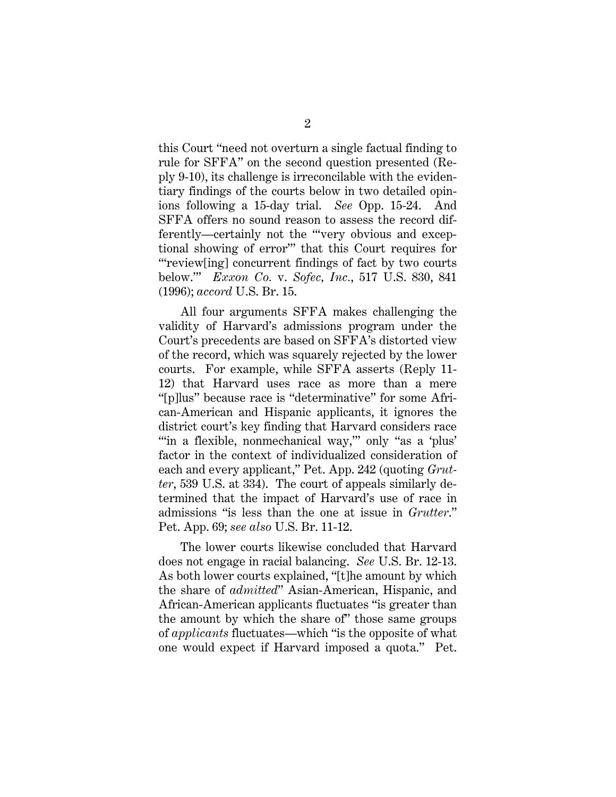this Court "need not overturn a single factual finding to rule for SFFA" on the second question presented (Reply 9-10), its challenge is irreconcilable with the evidentiary findings of the courts below in two detailed opinions following a 15-day trial. *See* Opp. 15-24. And SFFA offers no sound reason to assess the record differently—certainly not the "'very obvious and exceptional showing of error'" that this Court requires for "'review[ing] concurrent findings of fact by two courts below.'" *Exxon Co.* v. *Sofec, Inc.*, 517 U.S. 830, 841 (1996); *accord* U.S. Br. 15.

All four arguments SFFA makes challenging the validity of Harvard's admissions program under the Court's precedents are based on SFFA's distorted view of the record, which was squarely rejected by the lower courts. For example, while SFFA asserts (Reply 11- 12) that Harvard uses race as more than a mere "[p]lus" because race is "determinative" for some African-American and Hispanic applicants, it ignores the district court's key finding that Harvard considers race "in a flexible, nonmechanical way," only "as a 'plus' factor in the context of individualized consideration of each and every applicant," Pet. App. 242 (quoting *Grutter*, 539 U.S. at 334). The court of appeals similarly determined that the impact of Harvard's use of race in admissions "is less than the one at issue in *Grutter*." Pet. App. 69; *see also* U.S. Br. 11-12.

The lower courts likewise concluded that Harvard does not engage in racial balancing. *See* U.S. Br. 12-13. As both lower courts explained, "[t]he amount by which the share of *admitted*" Asian-American, Hispanic, and African-American applicants fluctuates "is greater than the amount by which the share of" those same groups of *applicants* fluctuates—which "is the opposite of what one would expect if Harvard imposed a quota." Pet.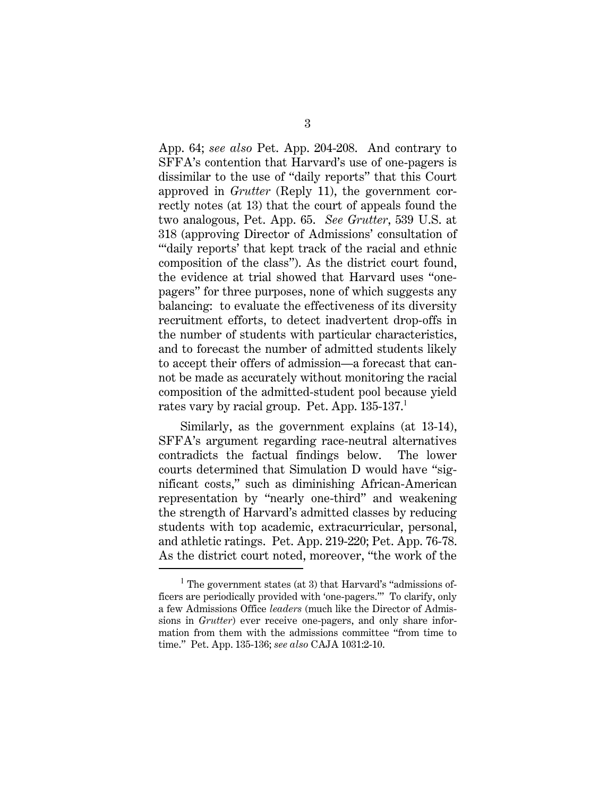App. 64; *see also* Pet. App. 204-208. And contrary to SFFA's contention that Harvard's use of one-pagers is dissimilar to the use of "daily reports" that this Court approved in *Grutter* (Reply 11), the government correctly notes (at 13) that the court of appeals found the two analogous, Pet. App. 65. *See Grutter*, 539 U.S. at 318 (approving Director of Admissions' consultation of "'daily reports' that kept track of the racial and ethnic composition of the class"). As the district court found, the evidence at trial showed that Harvard uses "onepagers" for three purposes, none of which suggests any balancing: to evaluate the effectiveness of its diversity recruitment efforts, to detect inadvertent drop-offs in the number of students with particular characteristics, and to forecast the number of admitted students likely to accept their offers of admission—a forecast that cannot be made as accurately without monitoring the racial composition of the admitted-student pool because yield rates vary by racial group. Pet. App. 135-137.<sup>1</sup>

Similarly, as the government explains (at 13-14), SFFA's argument regarding race-neutral alternatives contradicts the factual findings below. The lower courts determined that Simulation D would have "significant costs," such as diminishing African-American representation by "nearly one-third" and weakening the strength of Harvard's admitted classes by reducing students with top academic, extracurricular, personal, and athletic ratings. Pet. App. 219-220; Pet. App. 76-78. As the district court noted, moreover, "the work of the

<sup>&</sup>lt;sup>1</sup> The government states (at 3) that Harvard's "admissions officers are periodically provided with 'one-pagers.'" To clarify, only a few Admissions Office *leaders* (much like the Director of Admissions in *Grutter*) ever receive one-pagers, and only share information from them with the admissions committee "from time to time." Pet. App. 135-136; *see also* CAJA 1031:2-10.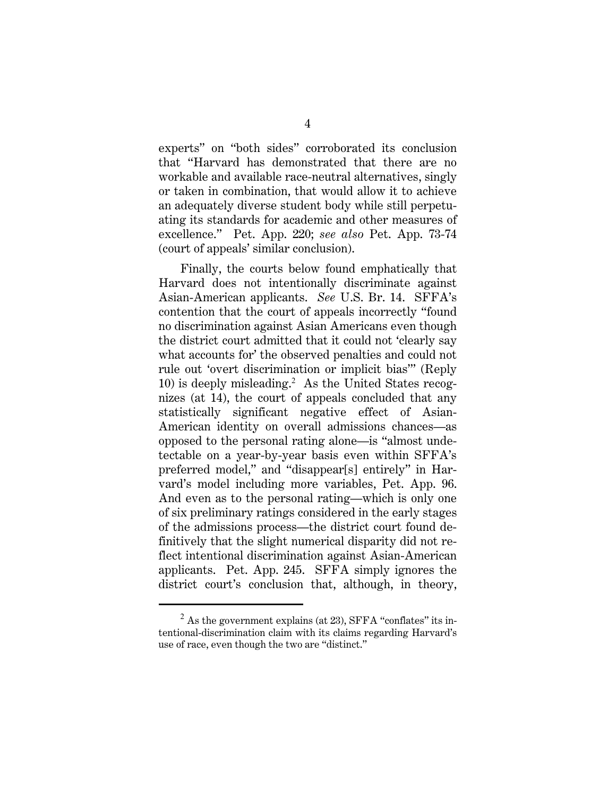experts" on "both sides" corroborated its conclusion that "Harvard has demonstrated that there are no workable and available race-neutral alternatives, singly or taken in combination, that would allow it to achieve an adequately diverse student body while still perpetuating its standards for academic and other measures of excellence." Pet. App. 220; *see also* Pet. App. 73-74 (court of appeals' similar conclusion).

Finally, the courts below found emphatically that Harvard does not intentionally discriminate against Asian-American applicants. *See* U.S. Br. 14. SFFA's contention that the court of appeals incorrectly "found no discrimination against Asian Americans even though the district court admitted that it could not 'clearly say what accounts for' the observed penalties and could not rule out 'overt discrimination or implicit bias'" (Reply 10) is deeply misleading.<sup>2</sup> As the United States recognizes (at 14), the court of appeals concluded that any statistically significant negative effect of Asian-American identity on overall admissions chances—as opposed to the personal rating alone—is "almost undetectable on a year-by-year basis even within SFFA's preferred model," and "disappear[s] entirely" in Harvard's model including more variables, Pet. App. 96. And even as to the personal rating—which is only one of six preliminary ratings considered in the early stages of the admissions process—the district court found definitively that the slight numerical disparity did not reflect intentional discrimination against Asian-American applicants. Pet. App. 245. SFFA simply ignores the district court's conclusion that, although, in theory,

 $^2$  As the government explains (at 23), SFFA "conflates" its intentional-discrimination claim with its claims regarding Harvard's use of race, even though the two are "distinct."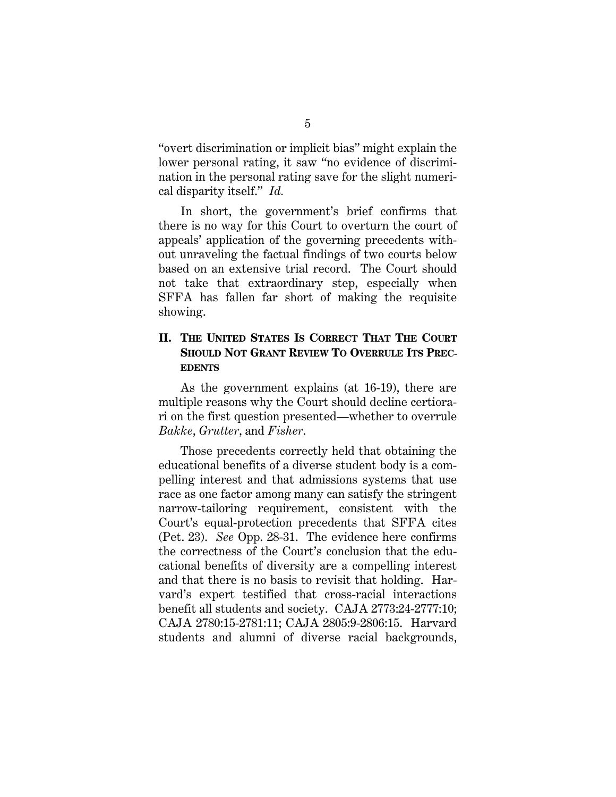"overt discrimination or implicit bias" might explain the lower personal rating, it saw "no evidence of discrimination in the personal rating save for the slight numerical disparity itself." *Id.*

In short, the government's brief confirms that there is no way for this Court to overturn the court of appeals' application of the governing precedents without unraveling the factual findings of two courts below based on an extensive trial record. The Court should not take that extraordinary step, especially when SFFA has fallen far short of making the requisite showing.

#### **II. THE UNITED STATES IS CORRECT THAT THE COURT SHOULD NOT GRANT REVIEW TO OVERRULE ITS PREC-EDENTS**

As the government explains (at 16-19), there are multiple reasons why the Court should decline certiorari on the first question presented—whether to overrule *Bakke*, *Grutter*, and *Fisher*.

Those precedents correctly held that obtaining the educational benefits of a diverse student body is a compelling interest and that admissions systems that use race as one factor among many can satisfy the stringent narrow-tailoring requirement, consistent with the Court's equal-protection precedents that SFFA cites (Pet. 23). *See* Opp. 28-31. The evidence here confirms the correctness of the Court's conclusion that the educational benefits of diversity are a compelling interest and that there is no basis to revisit that holding. Harvard's expert testified that cross-racial interactions benefit all students and society. CAJA 2773:24-2777:10; CAJA 2780:15-2781:11; CAJA 2805:9-2806:15. Harvard students and alumni of diverse racial backgrounds,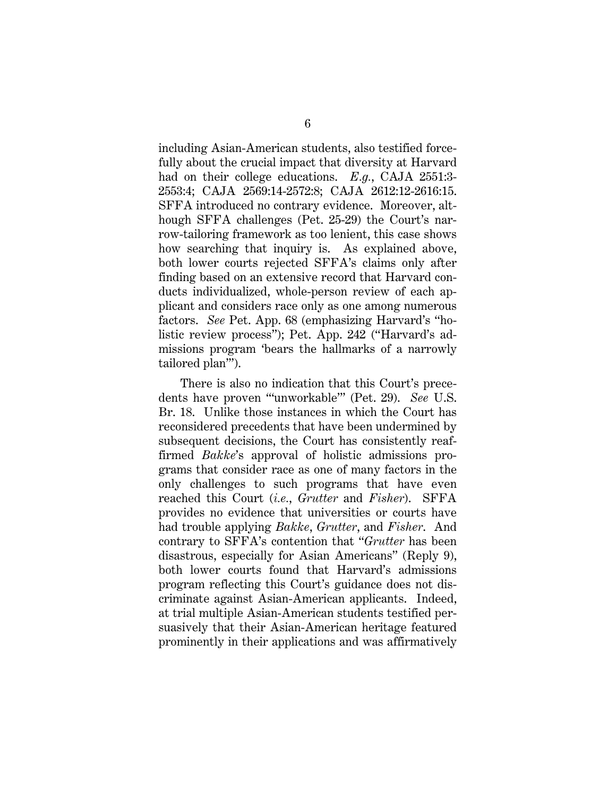including Asian-American students, also testified forcefully about the crucial impact that diversity at Harvard had on their college educations. *E.g.*, CAJA 2551:3- 2553:4; CAJA 2569:14-2572:8; CAJA 2612:12-2616:15. SFFA introduced no contrary evidence. Moreover, although SFFA challenges (Pet. 25-29) the Court's narrow-tailoring framework as too lenient, this case shows how searching that inquiry is. As explained above, both lower courts rejected SFFA's claims only after finding based on an extensive record that Harvard conducts individualized, whole-person review of each applicant and considers race only as one among numerous factors. *See* Pet. App. 68 (emphasizing Harvard's "holistic review process"); Pet. App. 242 ("Harvard's admissions program 'bears the hallmarks of a narrowly tailored plan'").

There is also no indication that this Court's precedents have proven "'unworkable'" (Pet. 29). *See* U.S. Br. 18. Unlike those instances in which the Court has reconsidered precedents that have been undermined by subsequent decisions, the Court has consistently reaffirmed *Bakke*'s approval of holistic admissions programs that consider race as one of many factors in the only challenges to such programs that have even reached this Court (*i.e.*, *Grutter* and *Fisher*). SFFA provides no evidence that universities or courts have had trouble applying *Bakke*, *Grutter*, and *Fisher*. And contrary to SFFA's contention that "*Grutter* has been disastrous, especially for Asian Americans" (Reply 9), both lower courts found that Harvard's admissions program reflecting this Court's guidance does not discriminate against Asian-American applicants. Indeed, at trial multiple Asian-American students testified persuasively that their Asian-American heritage featured prominently in their applications and was affirmatively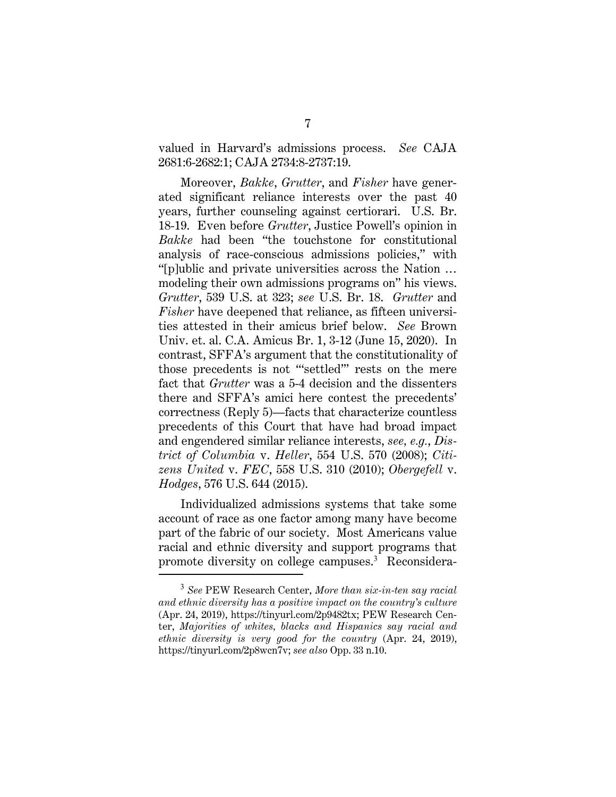valued in Harvard's admissions process. *See* CAJA 2681:6-2682:1; CAJA 2734:8-2737:19.

Moreover, *Bakke*, *Grutter*, and *Fisher* have generated significant reliance interests over the past 40 years, further counseling against certiorari. U.S. Br. 18-19. Even before *Grutter*, Justice Powell's opinion in *Bakke* had been "the touchstone for constitutional analysis of race-conscious admissions policies," with "[p]ublic and private universities across the Nation … modeling their own admissions programs on" his views. *Grutter*, 539 U.S. at 323; *see* U.S. Br. 18. *Grutter* and *Fisher* have deepened that reliance, as fifteen universities attested in their amicus brief below. *See* Brown Univ. et. al. C.A. Amicus Br. 1, 3-12 (June 15, 2020). In contrast, SFFA's argument that the constitutionality of those precedents is not "'settled'" rests on the mere fact that *Grutter* was a 5-4 decision and the dissenters there and SFFA's amici here contest the precedents' correctness (Reply 5)—facts that characterize countless precedents of this Court that have had broad impact and engendered similar reliance interests, *see, e.g.*, *District of Columbia* v. *Heller*, 554 U.S. 570 (2008); *Citizens United* v. *FEC*, 558 U.S. 310 (2010); *Obergefell* v. *Hodges*, 576 U.S. 644 (2015).

Individualized admissions systems that take some account of race as one factor among many have become part of the fabric of our society. Most Americans value racial and ethnic diversity and support programs that promote diversity on college campuses.<sup>3</sup> Reconsidera-

<sup>3</sup> *See* PEW Research Center, *More than six-in-ten say racial and ethnic diversity has a positive impact on the country's culture* (Apr. 24, 2019), https://tinyurl.com/2p9482tx; PEW Research Center, *Majorities of whites, blacks and Hispanics say racial and ethnic diversity is very good for the country* (Apr. 24, 2019), https://tinyurl.com/2p8wcn7v; *see also* Opp. 33 n.10.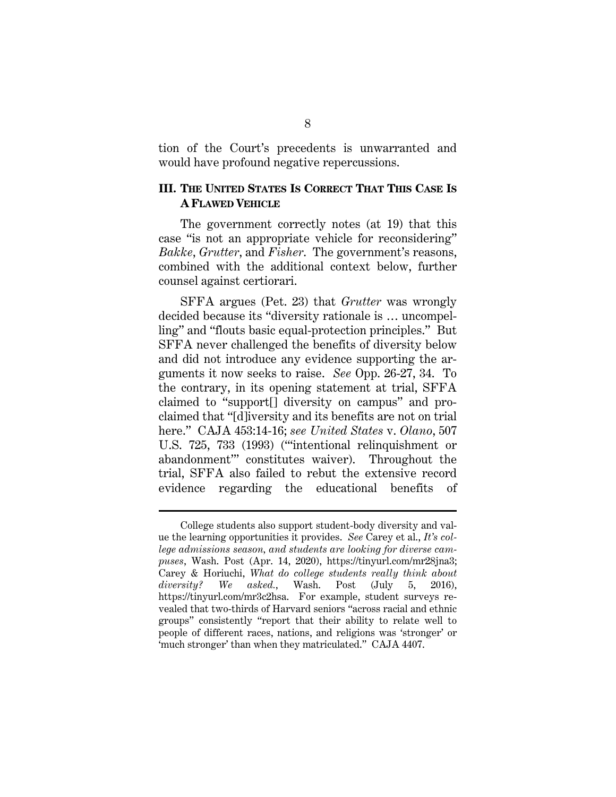tion of the Court's precedents is unwarranted and would have profound negative repercussions.

#### **III. THE UNITED STATES IS CORRECT THAT THIS CASE IS A FLAWED VEHICLE**

The government correctly notes (at 19) that this case "is not an appropriate vehicle for reconsidering" *Bakke*, *Grutter*, and *Fisher*. The government's reasons, combined with the additional context below, further counsel against certiorari.

SFFA argues (Pet. 23) that *Grutter* was wrongly decided because its "diversity rationale is … uncompelling" and "flouts basic equal-protection principles." But SFFA never challenged the benefits of diversity below and did not introduce any evidence supporting the arguments it now seeks to raise. *See* Opp. 26-27, 34. To the contrary, in its opening statement at trial, SFFA claimed to "support[] diversity on campus" and proclaimed that "[d]iversity and its benefits are not on trial here." CAJA 453:14-16; *see United States* v. *Olano*, 507 U.S. 725, 733 (1993) ("'intentional relinquishment or abandonment'" constitutes waiver). Throughout the trial, SFFA also failed to rebut the extensive record evidence regarding the educational benefits of

College students also support student-body diversity and value the learning opportunities it provides. *See* Carey et al., *It's college admissions season, and students are looking for diverse campuses*, Wash. Post (Apr. 14, 2020), https://tinyurl.com/mr28jna3; Carey & Horiuchi, *What do college students really think about diversity? We asked.*, Wash. Post (July 5, 2016), https://tinyurl.com/mr3c2hsa. For example, student surveys revealed that two-thirds of Harvard seniors "across racial and ethnic groups" consistently "report that their ability to relate well to people of different races, nations, and religions was 'stronger' or 'much stronger' than when they matriculated." CAJA 4407.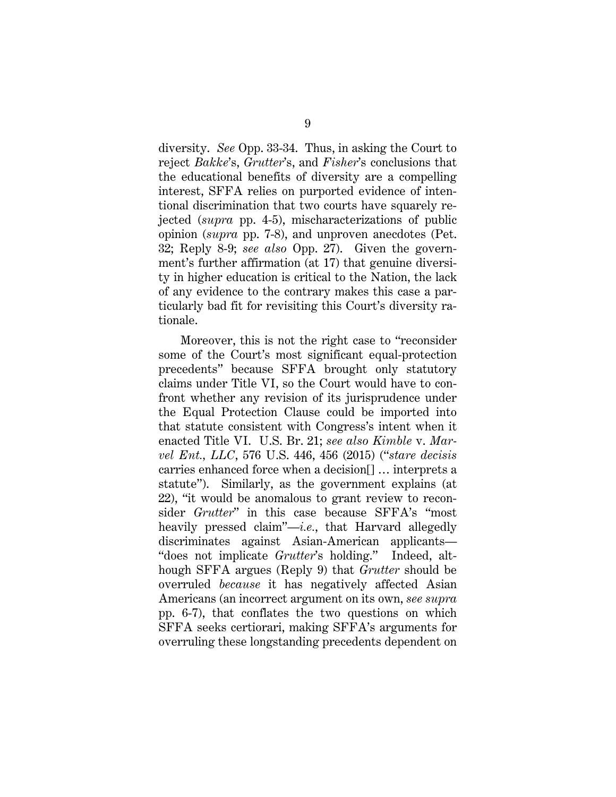diversity. *See* Opp. 33-34. Thus, in asking the Court to reject *Bakke*'s, *Grutter*'s, and *Fisher*'s conclusions that the educational benefits of diversity are a compelling interest, SFFA relies on purported evidence of intentional discrimination that two courts have squarely rejected (*supra* pp. 4-5), mischaracterizations of public opinion (*supra* pp. 7-8), and unproven anecdotes (Pet. 32; Reply 8-9; *see also* Opp. 27). Given the government's further affirmation (at 17) that genuine diversity in higher education is critical to the Nation, the lack of any evidence to the contrary makes this case a particularly bad fit for revisiting this Court's diversity rationale.

Moreover, this is not the right case to "reconsider some of the Court's most significant equal-protection precedents" because SFFA brought only statutory claims under Title VI, so the Court would have to confront whether any revision of its jurisprudence under the Equal Protection Clause could be imported into that statute consistent with Congress's intent when it enacted Title VI. U.S. Br. 21; *see also Kimble* v. *Marvel Ent., LLC*, 576 U.S. 446, 456 (2015) ("*stare decisis* carries enhanced force when a decision[] … interprets a statute"). Similarly, as the government explains (at 22), "it would be anomalous to grant review to reconsider *Grutter*" in this case because SFFA's "most heavily pressed claim"—*i.e.*, that Harvard allegedly discriminates against Asian-American applicants— "does not implicate *Grutter*'s holding." Indeed, although SFFA argues (Reply 9) that *Grutter* should be overruled *because* it has negatively affected Asian Americans (an incorrect argument on its own, *see supra* pp. 6-7), that conflates the two questions on which SFFA seeks certiorari, making SFFA's arguments for overruling these longstanding precedents dependent on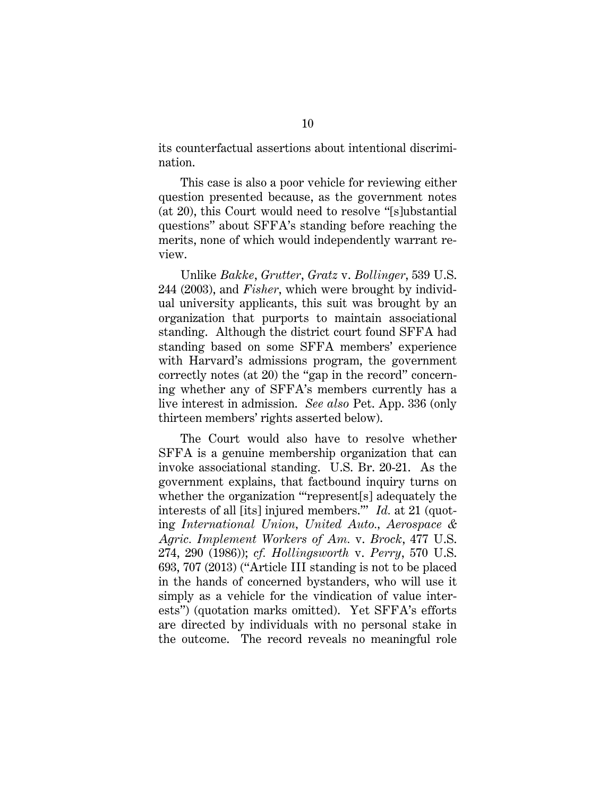its counterfactual assertions about intentional discrimination.

This case is also a poor vehicle for reviewing either question presented because, as the government notes (at 20), this Court would need to resolve "[s]ubstantial questions" about SFFA's standing before reaching the merits, none of which would independently warrant review.

Unlike *Bakke*, *Grutter*, *Gratz* v. *Bollinger*, 539 U.S. 244 (2003), and *Fisher*, which were brought by individual university applicants, this suit was brought by an organization that purports to maintain associational standing. Although the district court found SFFA had standing based on some SFFA members' experience with Harvard's admissions program, the government correctly notes (at 20) the "gap in the record" concerning whether any of SFFA's members currently has a live interest in admission. *See also* Pet. App. 336 (only thirteen members' rights asserted below).

The Court would also have to resolve whether SFFA is a genuine membership organization that can invoke associational standing. U.S. Br. 20-21. As the government explains, that factbound inquiry turns on whether the organization "'represent[s] adequately the interests of all [its] injured members.'" *Id.* at 21 (quoting *International Union, United Auto., Aerospace & Agric. Implement Workers of Am.* v. *Brock*, 477 U.S. 274, 290 (1986)); *cf. Hollingsworth* v. *Perry*, 570 U.S. 693, 707 (2013) ("Article III standing is not to be placed in the hands of concerned bystanders, who will use it simply as a vehicle for the vindication of value interests") (quotation marks omitted). Yet SFFA's efforts are directed by individuals with no personal stake in the outcome. The record reveals no meaningful role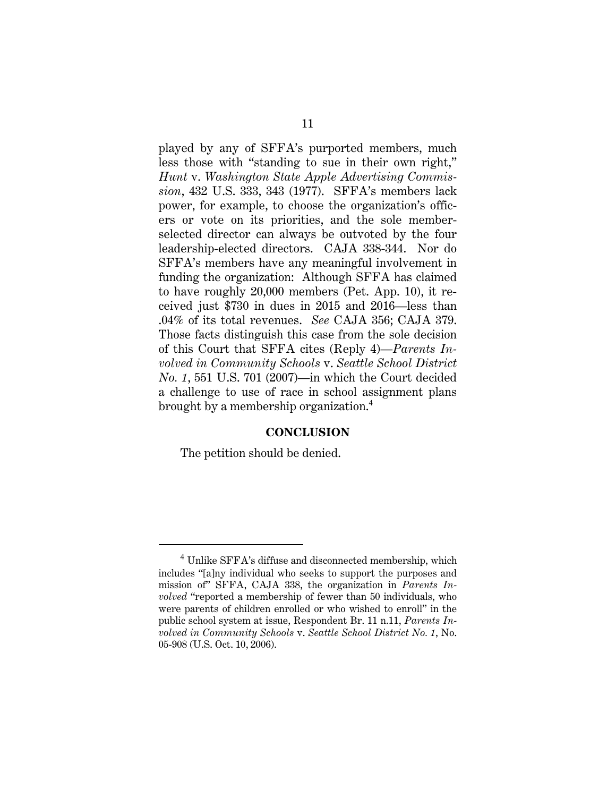played by any of SFFA's purported members, much less those with "standing to sue in their own right," *Hunt* v. *Washington State Apple Advertising Commission*, 432 U.S. 333, 343 (1977). SFFA's members lack power, for example, to choose the organization's officers or vote on its priorities, and the sole memberselected director can always be outvoted by the four leadership-elected directors. CAJA 338-344. Nor do SFFA's members have any meaningful involvement in funding the organization: Although SFFA has claimed to have roughly 20,000 members (Pet. App. 10), it received just \$730 in dues in 2015 and 2016—less than .04% of its total revenues. *See* CAJA 356; CAJA 379. Those facts distinguish this case from the sole decision of this Court that SFFA cites (Reply 4)—*Parents Involved in Community Schools* v. *Seattle School District No. 1*, 551 U.S. 701 (2007)—in which the Court decided a challenge to use of race in school assignment plans brought by a membership organization.<sup>4</sup>

#### **CONCLUSION**

The petition should be denied.

<sup>&</sup>lt;sup>4</sup> Unlike SFFA's diffuse and disconnected membership, which includes "[a]ny individual who seeks to support the purposes and mission of" SFFA, CAJA 338, the organization in *Parents Involved* "reported a membership of fewer than 50 individuals, who were parents of children enrolled or who wished to enroll" in the public school system at issue, Respondent Br. 11 n.11, *Parents Involved in Community Schools* v. *Seattle School District No. 1*, No. 05-908 (U.S. Oct. 10, 2006).